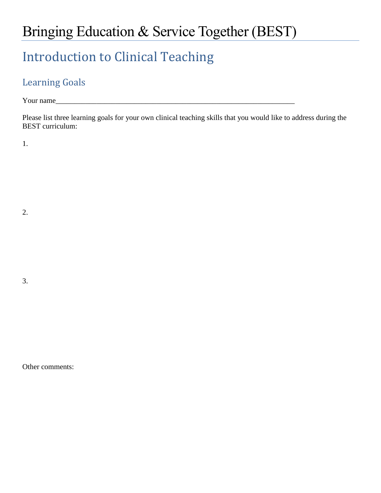## Bringing Education & Service Together (BEST)

## Introduction to Clinical Teaching

## Learning Goals

Your name

Please list three learning goals for your own clinical teaching skills that you would like to address during the BEST curriculum:

1.

2.

3.

Other comments: